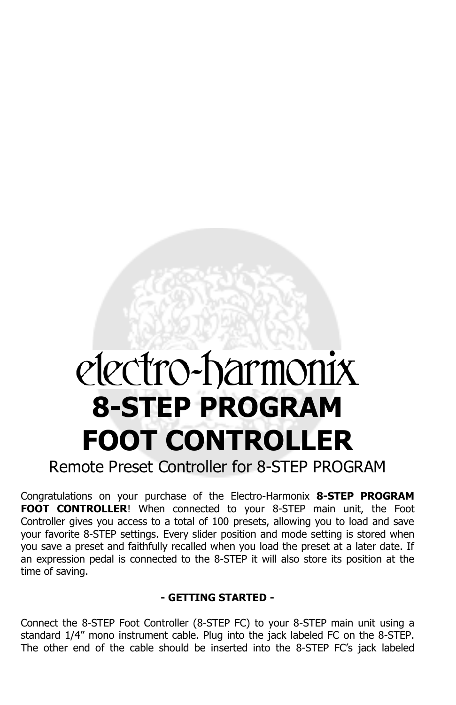# electro-harmonix **8-STEP PROGRAM FOOT CONTROLLER**

Remote Preset Controller for 8-STEP PROGRAM

Congratulations on your purchase of the Electro-Harmonix **8-STEP PROGRAM FOOT CONTROLLER**! When connected to your 8-STEP main unit, the Foot Controller gives you access to a total of 100 presets, allowing you to load and save your favorite 8-STEP settings. Every slider position and mode setting is stored when you save a preset and faithfully recalled when you load the preset at a later date. If an expression pedal is connected to the 8-STEP it will also store its position at the time of saving.

### **- GETTING STARTED -**

Connect the 8-STEP Foot Controller (8-STEP FC) to your 8-STEP main unit using a standard 1/4" mono instrument cable. Plug into the jack labeled FC on the 8-STEP. The other end of the cable should be inserted into the 8-STEP FC's jack labeled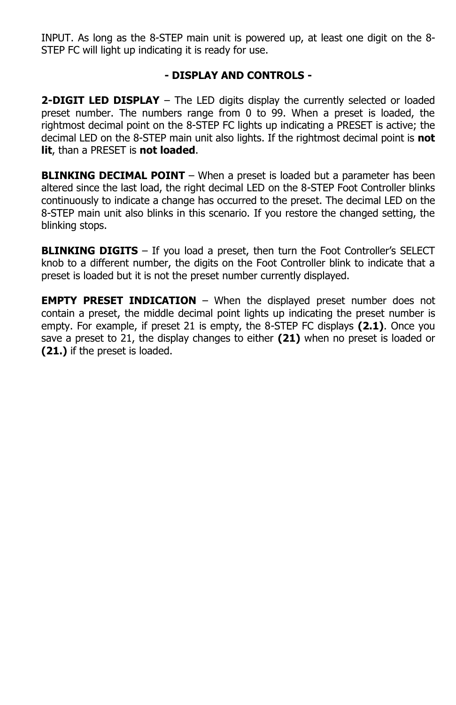INPUT. As long as the 8-STEP main unit is powered up, at least one digit on the 8- STEP FC will light up indicating it is ready for use.

# **- DISPLAY AND CONTROLS -**

**2-DIGIT LED DISPLAY** – The LED digits display the currently selected or loaded preset number. The numbers range from 0 to 99. When a preset is loaded, the rightmost decimal point on the 8-STEP FC lights up indicating a PRESET is active; the decimal LED on the 8-STEP main unit also lights. If the rightmost decimal point is **not lit**, than a PRESET is **not loaded**.

**BLINKING DECIMAL POINT** – When a preset is loaded but a parameter has been altered since the last load, the right decimal LED on the 8-STEP Foot Controller blinks continuously to indicate a change has occurred to the preset. The decimal LED on the 8-STEP main unit also blinks in this scenario. If you restore the changed setting, the blinking stops.

**BLINKING DIGITS** – If you load a preset, then turn the Foot Controller's SELECT knob to a different number, the digits on the Foot Controller blink to indicate that a preset is loaded but it is not the preset number currently displayed.

**EMPTY PRESET INDICATION** – When the displayed preset number does not contain a preset, the middle decimal point lights up indicating the preset number is empty. For example, if preset 21 is empty, the 8-STEP FC displays **(2.1)**. Once you save a preset to 21, the display changes to either **(21)** when no preset is loaded or **(21.)** if the preset is loaded.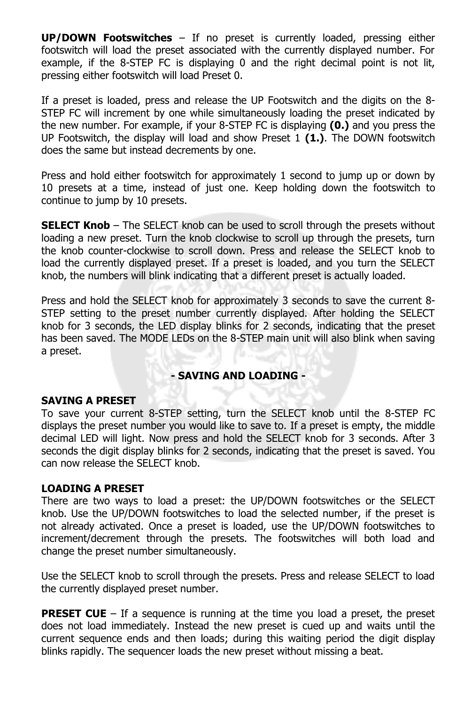**UP/DOWN Footswitches** – If no preset is currently loaded, pressing either footswitch will load the preset associated with the currently displayed number. For example, if the 8-STEP FC is displaying 0 and the right decimal point is not lit, pressing either footswitch will load Preset 0.

If a preset is loaded, press and release the UP Footswitch and the digits on the 8- STEP FC will increment by one while simultaneously loading the preset indicated by the new number. For example, if your 8-STEP FC is displaying **(0.)** and you press the UP Footswitch, the display will load and show Preset 1 **(1.)**. The DOWN footswitch does the same but instead decrements by one.

Press and hold either footswitch for approximately 1 second to jump up or down by 10 presets at a time, instead of just one. Keep holding down the footswitch to continue to jump by 10 presets.

**SELECT Knob** – The SELECT knob can be used to scroll through the presets without loading a new preset. Turn the knob clockwise to scroll up through the presets, turn the knob counter-clockwise to scroll down. Press and release the SELECT knob to load the currently displayed preset. If a preset is loaded, and you turn the SELECT knob, the numbers will blink indicating that a different preset is actually loaded.

Press and hold the SELECT knob for approximately 3 seconds to save the current 8- STEP setting to the preset number currently displayed. After holding the SELECT knob for 3 seconds, the LED display blinks for 2 seconds, indicating that the preset has been saved. The MODE LEDs on the 8-STEP main unit will also blink when saving a preset.

### **- SAVING AND LOADING -**

### **SAVING A PRESET**

To save your current 8-STEP setting, turn the SELECT knob until the 8-STEP FC displays the preset number you would like to save to. If a preset is empty, the middle decimal LED will light. Now press and hold the SELECT knob for 3 seconds. After 3 seconds the digit display blinks for 2 seconds, indicating that the preset is saved. You can now release the SELECT knob.

# **LOADING A PRESET**

There are two ways to load a preset: the UP/DOWN footswitches or the SELECT knob. Use the UP/DOWN footswitches to load the selected number, if the preset is not already activated. Once a preset is loaded, use the UP/DOWN footswitches to increment/decrement through the presets. The footswitches will both load and change the preset number simultaneously.

Use the SELECT knob to scroll through the presets. Press and release SELECT to load the currently displayed preset number.

**PRESET CUE** – If a sequence is running at the time you load a preset, the preset does not load immediately. Instead the new preset is cued up and waits until the current sequence ends and then loads; during this waiting period the digit display blinks rapidly. The sequencer loads the new preset without missing a beat.